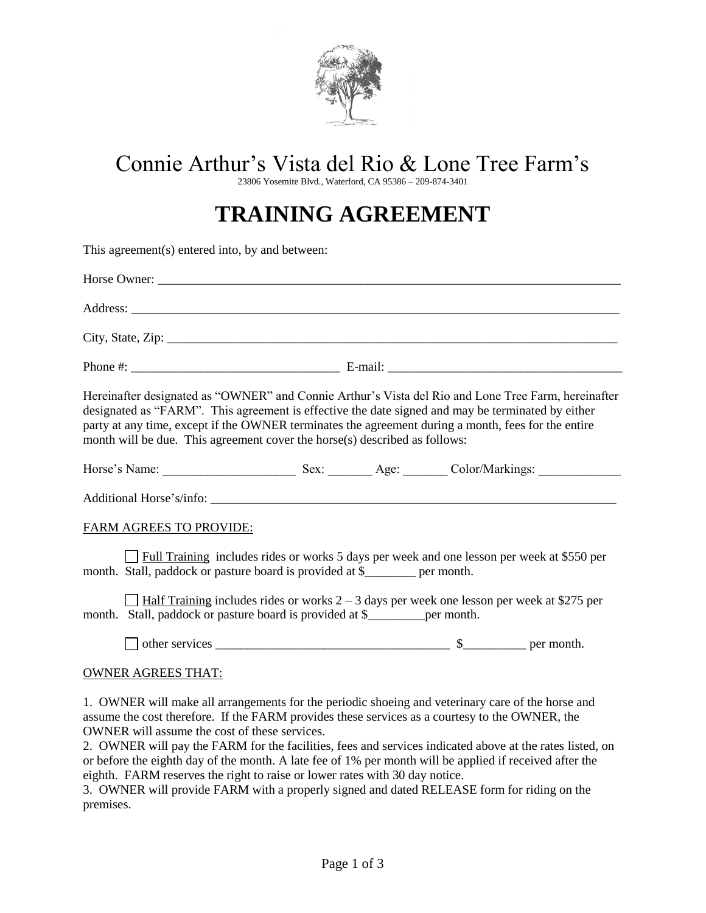

# Connie Arthur's Vista del Rio & Lone Tree Farm's

23806 Yosemite Blvd., Waterford, CA 95386 – 209-874-3401

# **TRAINING AGREEMENT**

This agreement(s) entered into, by and between:

| Hereinafter designated as "OWNER" and Connie Arthur's Vista del Rio and Lone Tree Farm, hereinafter<br>designated as "FARM". This agreement is effective the date signed and may be terminated by either<br>party at any time, except if the OWNER terminates the agreement during a month, fees for the entire<br>month will be due. This agreement cover the horse(s) described as follows: |
|-----------------------------------------------------------------------------------------------------------------------------------------------------------------------------------------------------------------------------------------------------------------------------------------------------------------------------------------------------------------------------------------------|
| Horse's Name: Sex: Sex: Age: Color/Markings: Color/Markings:                                                                                                                                                                                                                                                                                                                                  |
|                                                                                                                                                                                                                                                                                                                                                                                               |
| <b>FARM AGREES TO PROVIDE:</b>                                                                                                                                                                                                                                                                                                                                                                |
| Full Training includes rides or works 5 days per week and one lesson per week at \$550 per<br>month. Stall, paddock or pasture board is provided at \$_______ per month.                                                                                                                                                                                                                      |
| $\Box$ Half Training includes rides or works 2 – 3 days per week one lesson per week at \$275 per<br>month. Stall, paddock or pasture board is provided at \$__________ per month.                                                                                                                                                                                                            |
|                                                                                                                                                                                                                                                                                                                                                                                               |
| <b>OWNER AGREES THAT:</b>                                                                                                                                                                                                                                                                                                                                                                     |
| 1. OWNER will make all arrangements for the periodic shoeing and veterinary care of the horse and<br>assume the cost therefore. If the FARM provides these services as a courtesy to the OWNER, the<br><b>OWNER</b> will assume the cost of these services.                                                                                                                                   |

2. OWNER will pay the FARM for the facilities, fees and services indicated above at the rates listed, on or before the eighth day of the month. A late fee of 1% per month will be applied if received after the eighth. FARM reserves the right to raise or lower rates with 30 day notice.

3. OWNER will provide FARM with a properly signed and dated RELEASE form for riding on the premises.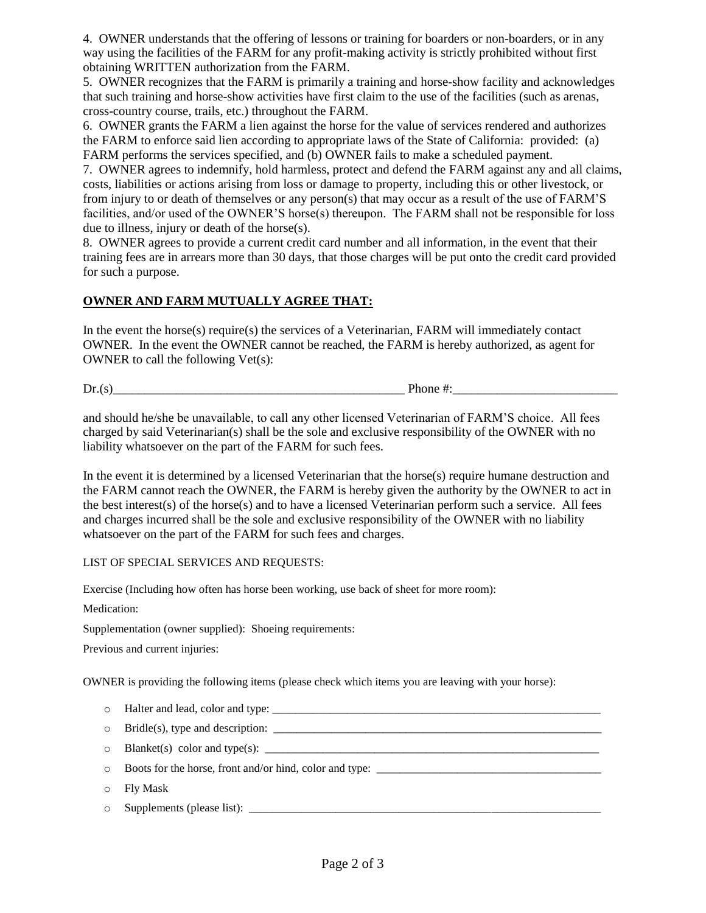4. OWNER understands that the offering of lessons or training for boarders or non-boarders, or in any way using the facilities of the FARM for any profit-making activity is strictly prohibited without first obtaining WRITTEN authorization from the FARM.

5. OWNER recognizes that the FARM is primarily a training and horse-show facility and acknowledges that such training and horse-show activities have first claim to the use of the facilities (such as arenas, cross-country course, trails, etc.) throughout the FARM.

6. OWNER grants the FARM a lien against the horse for the value of services rendered and authorizes the FARM to enforce said lien according to appropriate laws of the State of California: provided: (a) FARM performs the services specified, and (b) OWNER fails to make a scheduled payment.

7. OWNER agrees to indemnify, hold harmless, protect and defend the FARM against any and all claims, costs, liabilities or actions arising from loss or damage to property, including this or other livestock, or from injury to or death of themselves or any person(s) that may occur as a result of the use of FARM'S facilities, and/or used of the OWNER'S horse(s) thereupon. The FARM shall not be responsible for loss due to illness, injury or death of the horse(s).

8. OWNER agrees to provide a current credit card number and all information, in the event that their training fees are in arrears more than 30 days, that those charges will be put onto the credit card provided for such a purpose.

### **OWNER AND FARM MUTUALLY AGREE THAT:**

In the event the horse(s) require(s) the services of a Veterinarian, FARM will immediately contact OWNER. In the event the OWNER cannot be reached, the FARM is hereby authorized, as agent for OWNER to call the following Vet(s):

 $Dr(s)$  Phone #:

and should he/she be unavailable, to call any other licensed Veterinarian of FARM'S choice. All fees charged by said Veterinarian(s) shall be the sole and exclusive responsibility of the OWNER with no liability whatsoever on the part of the FARM for such fees.

In the event it is determined by a licensed Veterinarian that the horse(s) require humane destruction and the FARM cannot reach the OWNER, the FARM is hereby given the authority by the OWNER to act in the best interest(s) of the horse(s) and to have a licensed Veterinarian perform such a service. All fees and charges incurred shall be the sole and exclusive responsibility of the OWNER with no liability whatsoever on the part of the FARM for such fees and charges.

#### LIST OF SPECIAL SERVICES AND REQUESTS:

Exercise (Including how often has horse been working, use back of sheet for more room):

Medication:

Supplementation (owner supplied): Shoeing requirements:

Previous and current injuries:

OWNER is providing the following items (please check which items you are leaving with your horse):

- $\circ$  Halter and lead, color and type:
- o Bridle(s), type and description: \_\_\_\_\_\_\_\_\_\_\_\_\_\_\_\_\_\_\_\_\_\_\_\_\_\_\_\_\_\_\_\_\_\_\_\_\_\_\_\_\_\_\_\_\_\_\_\_\_\_\_\_\_\_\_\_\_
- o Blanket(s) color and type(s): \_\_\_\_\_\_\_\_\_\_\_\_\_\_\_\_\_\_\_\_\_\_\_\_\_\_\_\_\_\_\_\_\_\_\_\_\_\_\_\_\_\_\_\_\_\_\_\_\_\_\_\_\_\_\_\_\_\_
- $\circ$  Boots for the horse, front and/or hind, color and type:
- o Fly Mask
- $\circ$  Supplements (please list):